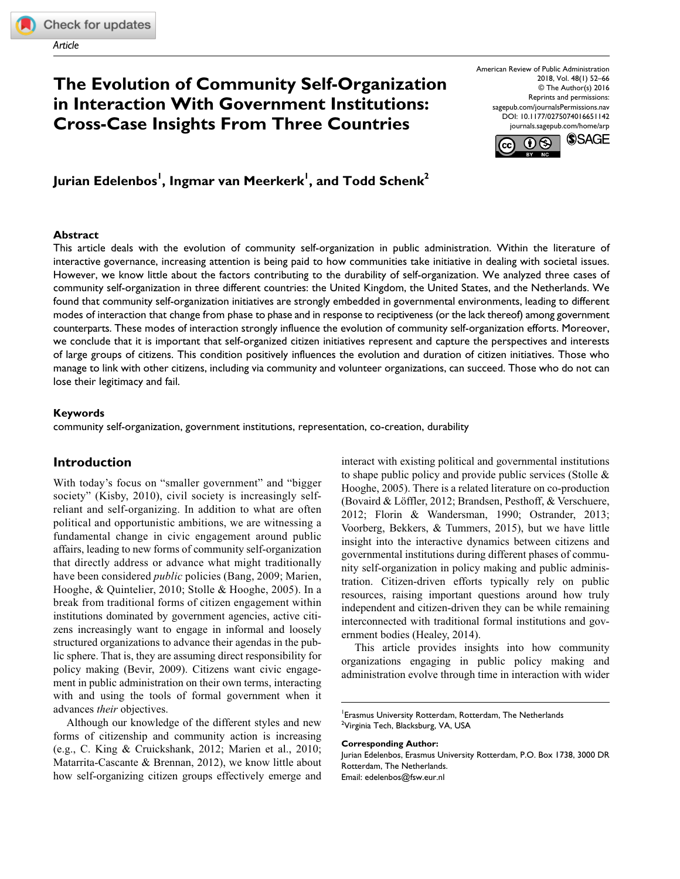*Article*

# **The Evolution of Community Self-Organization in Interaction With Government Institutions: Cross-Case Insights From Three Countries**

https://doi.org/ DOI: [10.1177/0275074016651142](http://doi.org/10.1177/0275074016651142) American Review of Public Administration 2018, Vol. 48(1) 52–66 © The Author(s) 2016 Reprints and permissions: [sagepub.com/journalsPermissions.nav](https://us.sagepub.com/en-us/journals-permissions)  [journals.sagepub.com/home/arp](https://journals.sagepub.com/home/arp)





### **Abstract**

This article deals with the evolution of community self-organization in public administration. Within the literature of interactive governance, increasing attention is being paid to how communities take initiative in dealing with societal issues. However, we know little about the factors contributing to the durability of self-organization. We analyzed three cases of community self-organization in three different countries: the United Kingdom, the United States, and the Netherlands. We found that community self-organization initiatives are strongly embedded in governmental environments, leading to different modes of interaction that change from phase to phase and in response to reciptiveness (or the lack thereof) among government counterparts. These modes of interaction strongly influence the evolution of community self-organization efforts. Moreover, we conclude that it is important that self-organized citizen initiatives represent and capture the perspectives and interests of large groups of citizens. This condition positively influences the evolution and duration of citizen initiatives. Those who manage to link with other citizens, including via community and volunteer organizations, can succeed. Those who do not can lose their legitimacy and fail.

### **Keywords**

community self-organization, government institutions, representation, co-creation, durability

## **Introduction**

With today's focus on "smaller government" and "bigger society" (Kisby, 2010), civil society is increasingly selfreliant and self-organizing. In addition to what are often political and opportunistic ambitions, we are witnessing a fundamental change in civic engagement around public affairs, leading to new forms of community self-organization that directly address or advance what might traditionally have been considered *public* policies (Bang, 2009; Marien, Hooghe, & Quintelier, 2010; Stolle & Hooghe, 2005). In a break from traditional forms of citizen engagement within institutions dominated by government agencies, active citizens increasingly want to engage in informal and loosely structured organizations to advance their agendas in the public sphere. That is, they are assuming direct responsibility for policy making (Bevir, 2009). Citizens want civic engagement in public administration on their own terms, interacting with and using the tools of formal government when it advances *their* objectives.

Although our knowledge of the different styles and new forms of citizenship and community action is increasing (e.g., C. King & Cruickshank, 2012; Marien et al., 2010; Matarrita-Cascante & Brennan, 2012), we know little about how self-organizing citizen groups effectively emerge and

interact with existing political and governmental institutions to shape public policy and provide public services (Stolle & Hooghe, 2005). There is a related literature on co-production (Bovaird & Löffler, 2012; Brandsen, Pesthoff, & Verschuere, 2012; Florin & Wandersman, 1990; Ostrander, 2013; Voorberg, Bekkers, & Tummers, 2015), but we have little insight into the interactive dynamics between citizens and governmental institutions during different phases of community self-organization in policy making and public administration. Citizen-driven efforts typically rely on public resources, raising important questions around how truly independent and citizen-driven they can be while remaining interconnected with traditional formal institutions and government bodies (Healey, 2014).

This article provides insights into how community organizations engaging in public policy making and administration evolve through time in interaction with wider

**Corresponding Author:**

Jurian Edelenbos, Erasmus University Rotterdam, P.O. Box 1738, 3000 DR Rotterdam, The Netherlands. Email: [edelenbos@fsw.eur.nl](mailto:edelenbos@fsw.eur.nl)

<sup>1</sup> Erasmus University Rotterdam, Rotterdam, The Netherlands <sup>2</sup>Virginia Tech, Blacksburg, VA, USA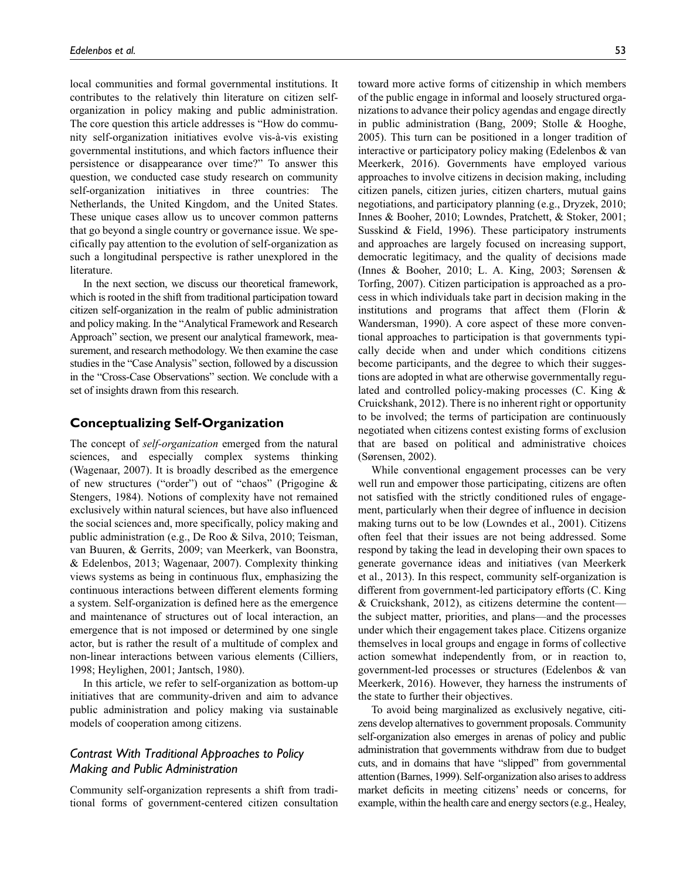local communities and formal governmental institutions. It contributes to the relatively thin literature on citizen selforganization in policy making and public administration. The core question this article addresses is "How do community self-organization initiatives evolve vis-à-vis existing governmental institutions, and which factors influence their persistence or disappearance over time?" To answer this question, we conducted case study research on community self-organization initiatives in three countries: The Netherlands, the United Kingdom, and the United States. These unique cases allow us to uncover common patterns that go beyond a single country or governance issue. We specifically pay attention to the evolution of self-organization as such a longitudinal perspective is rather unexplored in the literature.

In the next section, we discuss our theoretical framework, which is rooted in the shift from traditional participation toward citizen self-organization in the realm of public administration and policy making. In the "Analytical Framework and Research Approach" section, we present our analytical framework, measurement, and research methodology. We then examine the case studies in the "Case Analysis" section, followed by a discussion in the "Cross-Case Observations" section. We conclude with a set of insights drawn from this research.

#### **Conceptualizing Self-Organization**

The concept of *self-organization* emerged from the natural sciences, and especially complex systems thinking (Wagenaar, 2007). It is broadly described as the emergence of new structures ("order") out of "chaos" (Prigogine & Stengers, 1984). Notions of complexity have not remained exclusively within natural sciences, but have also influenced the social sciences and, more specifically, policy making and public administration (e.g., De Roo & Silva, 2010; Teisman, van Buuren, & Gerrits, 2009; van Meerkerk, van Boonstra, & Edelenbos, 2013; Wagenaar, 2007). Complexity thinking views systems as being in continuous flux, emphasizing the continuous interactions between different elements forming a system. Self-organization is defined here as the emergence and maintenance of structures out of local interaction, an emergence that is not imposed or determined by one single actor, but is rather the result of a multitude of complex and non-linear interactions between various elements (Cilliers, 1998; Heylighen, 2001; Jantsch, 1980).

In this article, we refer to self-organization as bottom-up initiatives that are community-driven and aim to advance public administration and policy making via sustainable models of cooperation among citizens.

## *Contrast With Traditional Approaches to Policy Making and Public Administration*

Community self-organization represents a shift from traditional forms of government-centered citizen consultation toward more active forms of citizenship in which members of the public engage in informal and loosely structured organizations to advance their policy agendas and engage directly in public administration (Bang, 2009; Stolle & Hooghe, 2005). This turn can be positioned in a longer tradition of interactive or participatory policy making (Edelenbos & van Meerkerk, 2016). Governments have employed various approaches to involve citizens in decision making, including citizen panels, citizen juries, citizen charters, mutual gains negotiations, and participatory planning (e.g., Dryzek, 2010; Innes & Booher, 2010; Lowndes, Pratchett, & Stoker, 2001; Susskind & Field, 1996). These participatory instruments and approaches are largely focused on increasing support, democratic legitimacy, and the quality of decisions made (Innes & Booher, 2010; L. A. King, 2003; Sørensen & Torfing, 2007). Citizen participation is approached as a process in which individuals take part in decision making in the institutions and programs that affect them (Florin & Wandersman, 1990). A core aspect of these more conventional approaches to participation is that governments typically decide when and under which conditions citizens become participants, and the degree to which their suggestions are adopted in what are otherwise governmentally regulated and controlled policy-making processes (C. King & Cruickshank, 2012). There is no inherent right or opportunity to be involved; the terms of participation are continuously negotiated when citizens contest existing forms of exclusion that are based on political and administrative choices (Sørensen, 2002).

While conventional engagement processes can be very well run and empower those participating, citizens are often not satisfied with the strictly conditioned rules of engagement, particularly when their degree of influence in decision making turns out to be low (Lowndes et al., 2001). Citizens often feel that their issues are not being addressed. Some respond by taking the lead in developing their own spaces to generate governance ideas and initiatives (van Meerkerk et al., 2013). In this respect, community self-organization is different from government-led participatory efforts (C. King & Cruickshank, 2012), as citizens determine the content the subject matter, priorities, and plans—and the processes under which their engagement takes place. Citizens organize themselves in local groups and engage in forms of collective action somewhat independently from, or in reaction to, government-led processes or structures (Edelenbos & van Meerkerk, 2016). However, they harness the instruments of the state to further their objectives.

To avoid being marginalized as exclusively negative, citizens develop alternatives to government proposals. Community self-organization also emerges in arenas of policy and public administration that governments withdraw from due to budget cuts, and in domains that have "slipped" from governmental attention (Barnes, 1999). Self-organization also arises to address market deficits in meeting citizens' needs or concerns, for example, within the health care and energy sectors (e.g., Healey,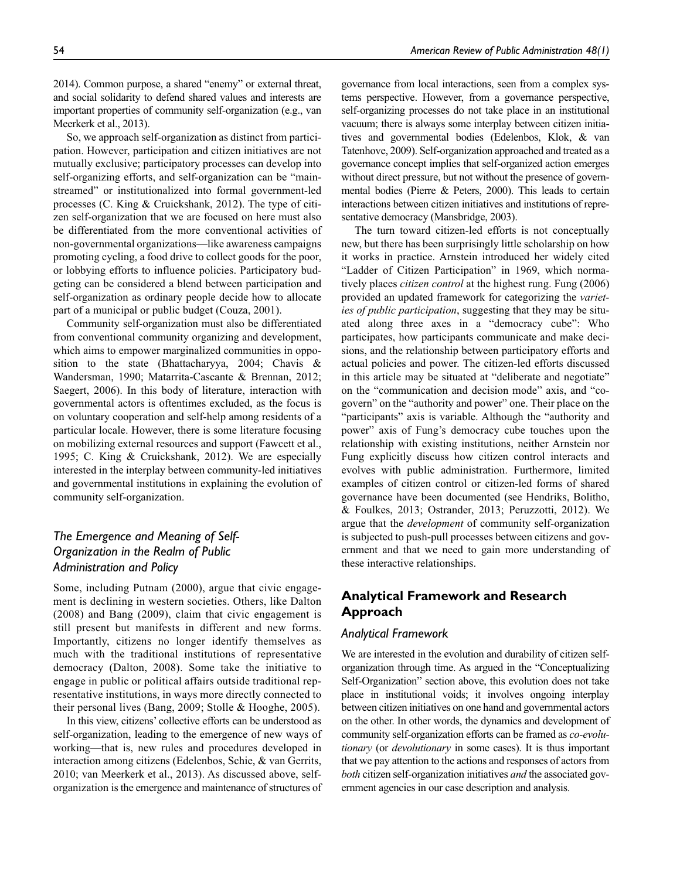2014). Common purpose, a shared "enemy" or external threat, and social solidarity to defend shared values and interests are important properties of community self-organization (e.g., van Meerkerk et al., 2013).

So, we approach self-organization as distinct from participation. However, participation and citizen initiatives are not mutually exclusive; participatory processes can develop into self-organizing efforts, and self-organization can be "mainstreamed" or institutionalized into formal government-led processes (C. King & Cruickshank, 2012). The type of citizen self-organization that we are focused on here must also be differentiated from the more conventional activities of non-governmental organizations—like awareness campaigns promoting cycling, a food drive to collect goods for the poor, or lobbying efforts to influence policies. Participatory budgeting can be considered a blend between participation and self-organization as ordinary people decide how to allocate part of a municipal or public budget (Couza, 2001).

Community self-organization must also be differentiated from conventional community organizing and development, which aims to empower marginalized communities in opposition to the state (Bhattacharyya, 2004; Chavis & Wandersman, 1990; Matarrita-Cascante & Brennan, 2012; Saegert, 2006). In this body of literature, interaction with governmental actors is oftentimes excluded, as the focus is on voluntary cooperation and self-help among residents of a particular locale. However, there is some literature focusing on mobilizing external resources and support (Fawcett et al., 1995; C. King & Cruickshank, 2012). We are especially interested in the interplay between community-led initiatives and governmental institutions in explaining the evolution of community self-organization.

## *The Emergence and Meaning of Self-Organization in the Realm of Public Administration and Policy*

Some, including Putnam (2000), argue that civic engagement is declining in western societies. Others, like Dalton (2008) and Bang (2009), claim that civic engagement is still present but manifests in different and new forms. Importantly, citizens no longer identify themselves as much with the traditional institutions of representative democracy (Dalton, 2008). Some take the initiative to engage in public or political affairs outside traditional representative institutions, in ways more directly connected to their personal lives (Bang, 2009; Stolle & Hooghe, 2005).

In this view, citizens' collective efforts can be understood as self-organization, leading to the emergence of new ways of working—that is, new rules and procedures developed in interaction among citizens (Edelenbos, Schie, & van Gerrits, 2010; van Meerkerk et al., 2013). As discussed above, selforganization is the emergence and maintenance of structures of

governance from local interactions, seen from a complex systems perspective. However, from a governance perspective, self-organizing processes do not take place in an institutional vacuum; there is always some interplay between citizen initiatives and governmental bodies (Edelenbos, Klok, & van Tatenhove, 2009). Self-organization approached and treated as a governance concept implies that self-organized action emerges without direct pressure, but not without the presence of governmental bodies (Pierre & Peters, 2000). This leads to certain interactions between citizen initiatives and institutions of representative democracy (Mansbridge, 2003).

The turn toward citizen-led efforts is not conceptually new, but there has been surprisingly little scholarship on how it works in practice. Arnstein introduced her widely cited "Ladder of Citizen Participation" in 1969, which normatively places *citizen control* at the highest rung. Fung (2006) provided an updated framework for categorizing the *varieties of public participation*, suggesting that they may be situated along three axes in a "democracy cube": Who participates, how participants communicate and make decisions, and the relationship between participatory efforts and actual policies and power. The citizen-led efforts discussed in this article may be situated at "deliberate and negotiate" on the "communication and decision mode" axis, and "cogovern" on the "authority and power" one. Their place on the "participants" axis is variable. Although the "authority and power" axis of Fung's democracy cube touches upon the relationship with existing institutions, neither Arnstein nor Fung explicitly discuss how citizen control interacts and evolves with public administration. Furthermore, limited examples of citizen control or citizen-led forms of shared governance have been documented (see Hendriks, Bolitho, & Foulkes, 2013; Ostrander, 2013; Peruzzotti, 2012). We argue that the *development* of community self-organization is subjected to push-pull processes between citizens and government and that we need to gain more understanding of these interactive relationships.

## **Analytical Framework and Research Approach**

### *Analytical Framework*

We are interested in the evolution and durability of citizen selforganization through time. As argued in the "Conceptualizing Self-Organization" section above, this evolution does not take place in institutional voids; it involves ongoing interplay between citizen initiatives on one hand and governmental actors on the other. In other words, the dynamics and development of community self-organization efforts can be framed as *co-evolutionary* (or *devolutionary* in some cases). It is thus important that we pay attention to the actions and responses of actors from *both* citizen self-organization initiatives *and* the associated government agencies in our case description and analysis.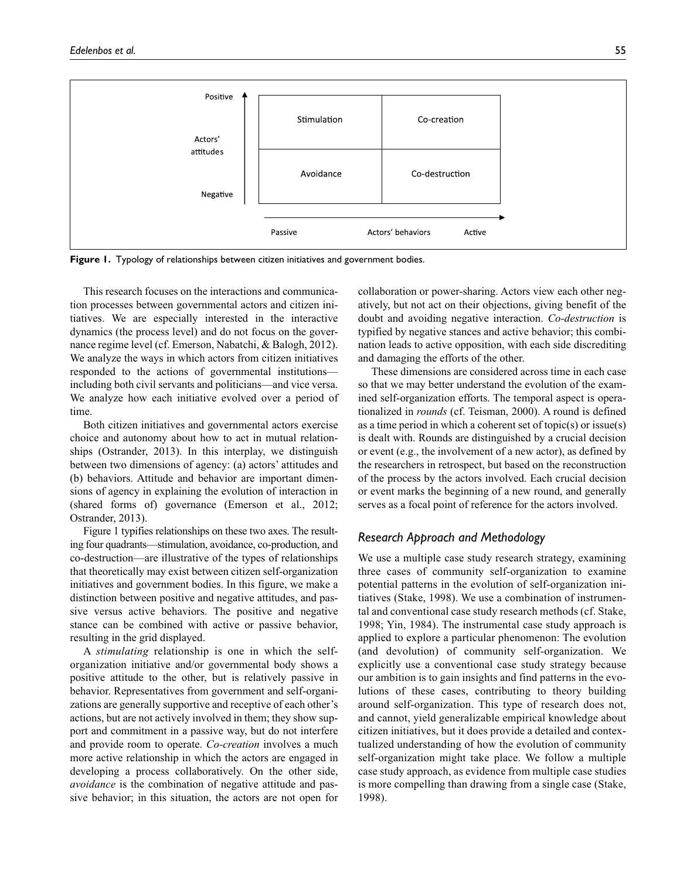

**Figure 1.** Typology of relationships between citizen initiatives and government bodies.

This research focuses on the interactions and communication processes between governmental actors and citizen initiatives. We are especially interested in the interactive dynamics (the process level) and do not focus on the governance regime level (cf. Emerson, Nabatchi, & Balogh, 2012). We analyze the ways in which actors from citizen initiatives responded to the actions of governmental institutions including both civil servants and politicians—and vice versa. We analyze how each initiative evolved over a period of time.

Both citizen initiatives and governmental actors exercise choice and autonomy about how to act in mutual relationships (Ostrander, 2013). In this interplay, we distinguish between two dimensions of agency: (a) actors' attitudes and (b) behaviors. Attitude and behavior are important dimensions of agency in explaining the evolution of interaction in (shared forms of) governance (Emerson et al., 2012; Ostrander, 2013).

Figure 1 typifies relationships on these two axes. The resulting four quadrants—stimulation, avoidance, co-production, and co-destruction—are illustrative of the types of relationships that theoretically may exist between citizen self-organization initiatives and government bodies. In this figure, we make a distinction between positive and negative attitudes, and passive versus active behaviors. The positive and negative stance can be combined with active or passive behavior, resulting in the grid displayed.

A *stimulating* relationship is one in which the selforganization initiative and/or governmental body shows a positive attitude to the other, but is relatively passive in behavior. Representatives from government and self-organizations are generally supportive and receptive of each other's actions, but are not actively involved in them; they show support and commitment in a passive way, but do not interfere and provide room to operate. *Co-creation* involves a much more active relationship in which the actors are engaged in developing a process collaboratively. On the other side, *avoidance* is the combination of negative attitude and passive behavior; in this situation, the actors are not open for collaboration or power-sharing. Actors view each other negatively, but not act on their objections, giving benefit of the doubt and avoiding negative interaction. *Co-destruction* is typified by negative stances and active behavior; this combination leads to active opposition, with each side discrediting and damaging the efforts of the other.

These dimensions are considered across time in each case so that we may better understand the evolution of the examined self-organization efforts. The temporal aspect is operationalized in *rounds* (cf. Teisman, 2000). A round is defined as a time period in which a coherent set of topic(s) or issue(s) is dealt with. Rounds are distinguished by a crucial decision or event (e.g., the involvement of a new actor), as defined by the researchers in retrospect, but based on the reconstruction of the process by the actors involved. Each crucial decision or event marks the beginning of a new round, and generally serves as a focal point of reference for the actors involved.

### *Research Approach and Methodology*

We use a multiple case study research strategy, examining three cases of community self-organization to examine potential patterns in the evolution of self-organization initiatives (Stake, 1998). We use a combination of instrumental and conventional case study research methods (cf. Stake, 1998; Yin, 1984). The instrumental case study approach is applied to explore a particular phenomenon: The evolution (and devolution) of community self-organization. We explicitly use a conventional case study strategy because our ambition is to gain insights and find patterns in the evolutions of these cases, contributing to theory building around self-organization. This type of research does not, and cannot, yield generalizable empirical knowledge about citizen initiatives, but it does provide a detailed and contextualized understanding of how the evolution of community self-organization might take place. We follow a multiple case study approach, as evidence from multiple case studies is more compelling than drawing from a single case (Stake, 1998).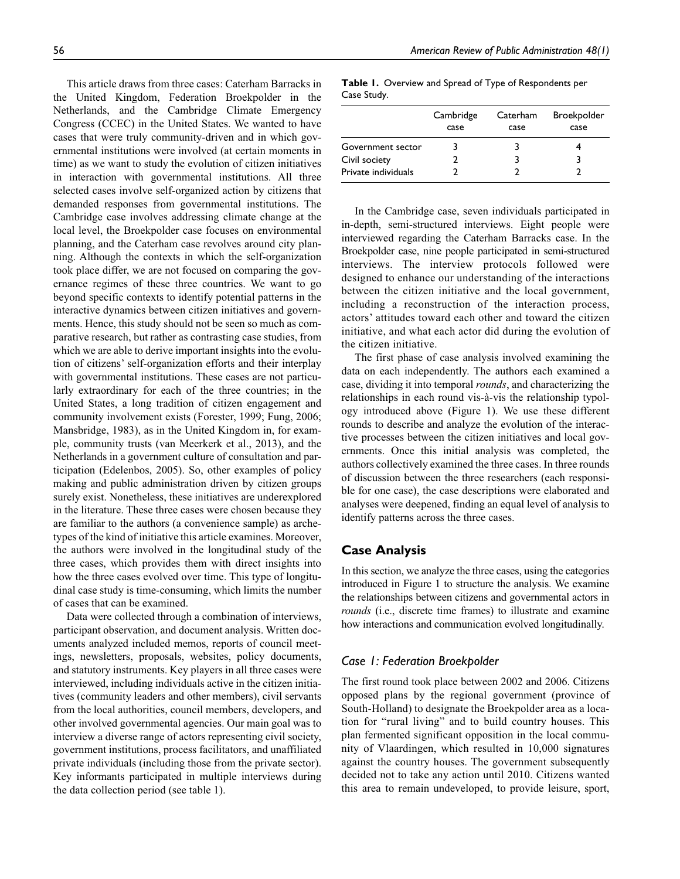This article draws from three cases: Caterham Barracks in the United Kingdom, Federation Broekpolder in the Netherlands, and the Cambridge Climate Emergency Congress (CCEC) in the United States. We wanted to have cases that were truly community-driven and in which governmental institutions were involved (at certain moments in time) as we want to study the evolution of citizen initiatives in interaction with governmental institutions. All three selected cases involve self-organized action by citizens that demanded responses from governmental institutions. The Cambridge case involves addressing climate change at the local level, the Broekpolder case focuses on environmental planning, and the Caterham case revolves around city planning. Although the contexts in which the self-organization took place differ, we are not focused on comparing the governance regimes of these three countries. We want to go beyond specific contexts to identify potential patterns in the interactive dynamics between citizen initiatives and governments. Hence, this study should not be seen so much as comparative research, but rather as contrasting case studies, from which we are able to derive important insights into the evolution of citizens' self-organization efforts and their interplay with governmental institutions. These cases are not particularly extraordinary for each of the three countries; in the United States, a long tradition of citizen engagement and community involvement exists (Forester, 1999; Fung, 2006; Mansbridge, 1983), as in the United Kingdom in, for example, community trusts (van Meerkerk et al., 2013), and the Netherlands in a government culture of consultation and participation (Edelenbos, 2005). So, other examples of policy making and public administration driven by citizen groups surely exist. Nonetheless, these initiatives are underexplored in the literature. These three cases were chosen because they are familiar to the authors (a convenience sample) as archetypes of the kind of initiative this article examines. Moreover, the authors were involved in the longitudinal study of the three cases, which provides them with direct insights into how the three cases evolved over time. This type of longitudinal case study is time-consuming, which limits the number of cases that can be examined.

Data were collected through a combination of interviews, participant observation, and document analysis. Written documents analyzed included memos, reports of council meetings, newsletters, proposals, websites, policy documents, and statutory instruments. Key players in all three cases were interviewed, including individuals active in the citizen initiatives (community leaders and other members), civil servants from the local authorities, council members, developers, and other involved governmental agencies. Our main goal was to interview a diverse range of actors representing civil society, government institutions, process facilitators, and unaffiliated private individuals (including those from the private sector). Key informants participated in multiple interviews during the data collection period (see table 1).

| Case Study. |           |          |             |
|-------------|-----------|----------|-------------|
|             | Cambridge | Caterham | Broekpolder |

**Table 1.** Overview and Spread of Type of Respondents per

|                     | Cambridge | Caterham | <b>Broekpolder</b> |
|---------------------|-----------|----------|--------------------|
|                     | case      | case     | case               |
| Government sector   |           |          |                    |
| Civil society       |           |          |                    |
| Private individuals |           |          |                    |

In the Cambridge case, seven individuals participated in in-depth, semi-structured interviews. Eight people were interviewed regarding the Caterham Barracks case. In the Broekpolder case, nine people participated in semi-structured interviews. The interview protocols followed were designed to enhance our understanding of the interactions between the citizen initiative and the local government, including a reconstruction of the interaction process, actors' attitudes toward each other and toward the citizen initiative, and what each actor did during the evolution of the citizen initiative.

The first phase of case analysis involved examining the data on each independently. The authors each examined a case, dividing it into temporal *rounds*, and characterizing the relationships in each round vis-à-vis the relationship typology introduced above (Figure 1). We use these different rounds to describe and analyze the evolution of the interactive processes between the citizen initiatives and local governments. Once this initial analysis was completed, the authors collectively examined the three cases. In three rounds of discussion between the three researchers (each responsible for one case), the case descriptions were elaborated and analyses were deepened, finding an equal level of analysis to identify patterns across the three cases.

### **Case Analysis**

In this section, we analyze the three cases, using the categories introduced in Figure 1 to structure the analysis. We examine the relationships between citizens and governmental actors in *rounds* (i.e., discrete time frames) to illustrate and examine how interactions and communication evolved longitudinally.

### *Case 1: Federation Broekpolder*

The first round took place between 2002 and 2006. Citizens opposed plans by the regional government (province of South-Holland) to designate the Broekpolder area as a location for "rural living" and to build country houses. This plan fermented significant opposition in the local community of Vlaardingen, which resulted in 10,000 signatures against the country houses. The government subsequently decided not to take any action until 2010. Citizens wanted this area to remain undeveloped, to provide leisure, sport,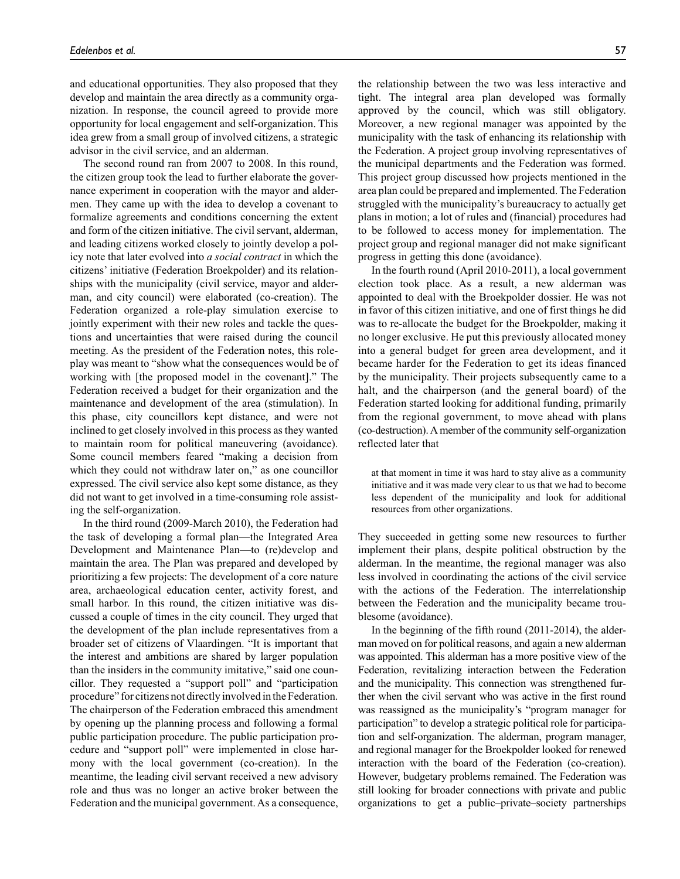and educational opportunities. They also proposed that they develop and maintain the area directly as a community organization. In response, the council agreed to provide more opportunity for local engagement and self-organization. This idea grew from a small group of involved citizens, a strategic advisor in the civil service, and an alderman.

The second round ran from 2007 to 2008. In this round, the citizen group took the lead to further elaborate the governance experiment in cooperation with the mayor and aldermen. They came up with the idea to develop a covenant to formalize agreements and conditions concerning the extent and form of the citizen initiative. The civil servant, alderman, and leading citizens worked closely to jointly develop a policy note that later evolved into *a social contract* in which the citizens' initiative (Federation Broekpolder) and its relationships with the municipality (civil service, mayor and alderman, and city council) were elaborated (co-creation). The Federation organized a role-play simulation exercise to jointly experiment with their new roles and tackle the questions and uncertainties that were raised during the council meeting. As the president of the Federation notes, this roleplay was meant to "show what the consequences would be of working with [the proposed model in the covenant]." The Federation received a budget for their organization and the maintenance and development of the area (stimulation). In this phase, city councillors kept distance, and were not inclined to get closely involved in this process as they wanted to maintain room for political maneuvering (avoidance). Some council members feared "making a decision from which they could not withdraw later on," as one councillor expressed. The civil service also kept some distance, as they did not want to get involved in a time-consuming role assisting the self-organization.

In the third round (2009-March 2010), the Federation had the task of developing a formal plan—the Integrated Area Development and Maintenance Plan—to (re)develop and maintain the area. The Plan was prepared and developed by prioritizing a few projects: The development of a core nature area, archaeological education center, activity forest, and small harbor. In this round, the citizen initiative was discussed a couple of times in the city council. They urged that the development of the plan include representatives from a broader set of citizens of Vlaardingen. "It is important that the interest and ambitions are shared by larger population than the insiders in the community imitative," said one councillor. They requested a "support poll" and "participation procedure" for citizens not directly involved in the Federation. The chairperson of the Federation embraced this amendment by opening up the planning process and following a formal public participation procedure. The public participation procedure and "support poll" were implemented in close harmony with the local government (co-creation). In the meantime, the leading civil servant received a new advisory role and thus was no longer an active broker between the Federation and the municipal government. As a consequence,

the relationship between the two was less interactive and tight. The integral area plan developed was formally approved by the council, which was still obligatory. Moreover, a new regional manager was appointed by the municipality with the task of enhancing its relationship with the Federation. A project group involving representatives of the municipal departments and the Federation was formed. This project group discussed how projects mentioned in the area plan could be prepared and implemented. The Federation struggled with the municipality's bureaucracy to actually get plans in motion; a lot of rules and (financial) procedures had to be followed to access money for implementation. The project group and regional manager did not make significant progress in getting this done (avoidance).

In the fourth round (April 2010-2011), a local government election took place. As a result, a new alderman was appointed to deal with the Broekpolder dossier. He was not in favor of this citizen initiative, and one of first things he did was to re-allocate the budget for the Broekpolder, making it no longer exclusive. He put this previously allocated money into a general budget for green area development, and it became harder for the Federation to get its ideas financed by the municipality. Their projects subsequently came to a halt, and the chairperson (and the general board) of the Federation started looking for additional funding, primarily from the regional government, to move ahead with plans (co-destruction). A member of the community self-organization reflected later that

at that moment in time it was hard to stay alive as a community initiative and it was made very clear to us that we had to become less dependent of the municipality and look for additional resources from other organizations.

They succeeded in getting some new resources to further implement their plans, despite political obstruction by the alderman. In the meantime, the regional manager was also less involved in coordinating the actions of the civil service with the actions of the Federation. The interrelationship between the Federation and the municipality became troublesome (avoidance).

In the beginning of the fifth round (2011-2014), the alderman moved on for political reasons, and again a new alderman was appointed. This alderman has a more positive view of the Federation, revitalizing interaction between the Federation and the municipality. This connection was strengthened further when the civil servant who was active in the first round was reassigned as the municipality's "program manager for participation" to develop a strategic political role for participation and self-organization. The alderman, program manager, and regional manager for the Broekpolder looked for renewed interaction with the board of the Federation (co-creation). However, budgetary problems remained. The Federation was still looking for broader connections with private and public organizations to get a public–private–society partnerships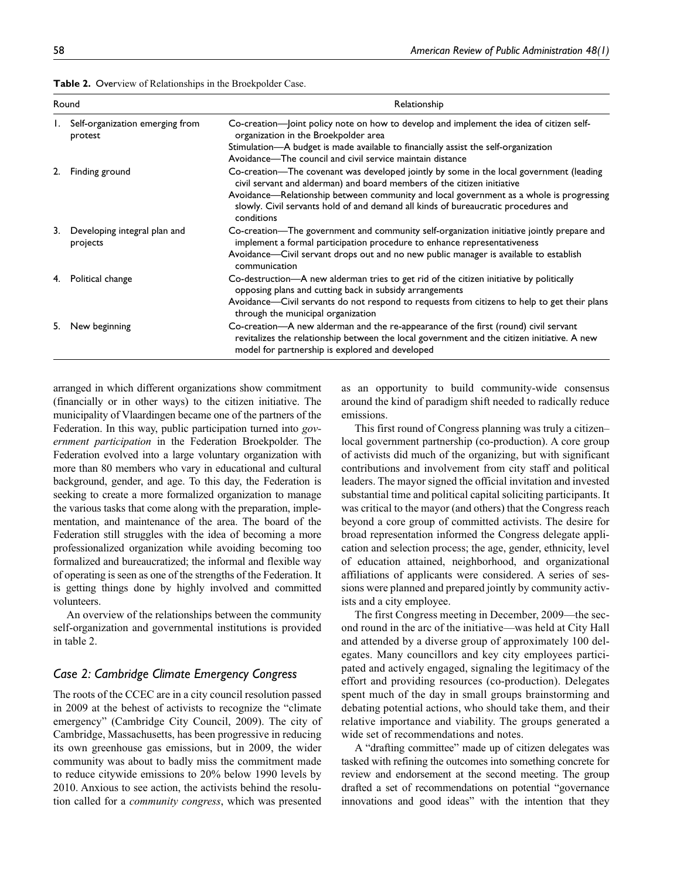| Round |                                            | Relationship                                                                                                                                                                                                                                                                                                                                                      |  |
|-------|--------------------------------------------|-------------------------------------------------------------------------------------------------------------------------------------------------------------------------------------------------------------------------------------------------------------------------------------------------------------------------------------------------------------------|--|
|       | Self-organization emerging from<br>protest | organization in the Broekpolder area<br>Stimulation—A budget is made available to financially assist the self-organization<br>Avoidance—The council and civil service maintain distance                                                                                                                                                                           |  |
| 2.    | Finding ground                             | Co-creation—The covenant was developed jointly by some in the local government (leading<br>civil servant and alderman) and board members of the citizen initiative<br>Avoidance—Relationship between community and local government as a whole is progressing<br>slowly. Civil servants hold of and demand all kinds of bureaucratic procedures and<br>conditions |  |
| 3.    | Developing integral plan and<br>projects   | Co-creation—The government and community self-organization initiative jointly prepare and<br>implement a formal participation procedure to enhance representativeness<br>Avoidance—Civil servant drops out and no new public manager is available to establish<br>communication                                                                                   |  |
|       | Political change                           | Co-destruction—A new alderman tries to get rid of the citizen initiative by politically<br>opposing plans and cutting back in subsidy arrangements<br>Avoidance—Civil servants do not respond to requests from citizens to help to get their plans<br>through the municipal organization                                                                          |  |
|       | New beginning                              | Co-creation—A new alderman and the re-appearance of the first (round) civil servant<br>revitalizes the relationship between the local government and the citizen initiative. A new<br>model for partnership is explored and developed                                                                                                                             |  |

**Table 2.** Overview of Relationships in the Broekpolder Case.

arranged in which different organizations show commitment (financially or in other ways) to the citizen initiative. The municipality of Vlaardingen became one of the partners of the Federation. In this way, public participation turned into *government participation* in the Federation Broekpolder. The Federation evolved into a large voluntary organization with more than 80 members who vary in educational and cultural background, gender, and age. To this day, the Federation is seeking to create a more formalized organization to manage the various tasks that come along with the preparation, implementation, and maintenance of the area. The board of the Federation still struggles with the idea of becoming a more professionalized organization while avoiding becoming too formalized and bureaucratized; the informal and flexible way of operating is seen as one of the strengths of the Federation. It is getting things done by highly involved and committed volunteers.

An overview of the relationships between the community self-organization and governmental institutions is provided in table 2.

### *Case 2: Cambridge Climate Emergency Congress*

The roots of the CCEC are in a city council resolution passed in 2009 at the behest of activists to recognize the "climate emergency" (Cambridge City Council, 2009). The city of Cambridge, Massachusetts, has been progressive in reducing its own greenhouse gas emissions, but in 2009, the wider community was about to badly miss the commitment made to reduce citywide emissions to 20% below 1990 levels by 2010. Anxious to see action, the activists behind the resolution called for a *community congress*, which was presented

as an opportunity to build community-wide consensus around the kind of paradigm shift needed to radically reduce emissions.

This first round of Congress planning was truly a citizen– local government partnership (co-production). A core group of activists did much of the organizing, but with significant contributions and involvement from city staff and political leaders. The mayor signed the official invitation and invested substantial time and political capital soliciting participants. It was critical to the mayor (and others) that the Congress reach beyond a core group of committed activists. The desire for broad representation informed the Congress delegate application and selection process; the age, gender, ethnicity, level of education attained, neighborhood, and organizational affiliations of applicants were considered. A series of sessions were planned and prepared jointly by community activists and a city employee.

The first Congress meeting in December, 2009—the second round in the arc of the initiative—was held at City Hall and attended by a diverse group of approximately 100 delegates. Many councillors and key city employees participated and actively engaged, signaling the legitimacy of the effort and providing resources (co-production). Delegates spent much of the day in small groups brainstorming and debating potential actions, who should take them, and their relative importance and viability. The groups generated a wide set of recommendations and notes.

A "drafting committee" made up of citizen delegates was tasked with refining the outcomes into something concrete for review and endorsement at the second meeting. The group drafted a set of recommendations on potential "governance innovations and good ideas" with the intention that they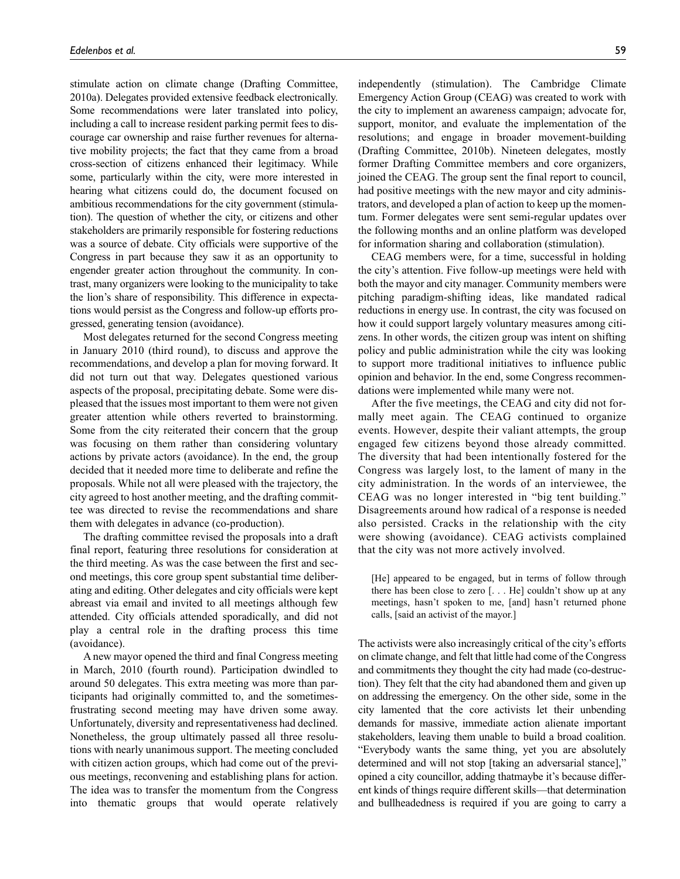stimulate action on climate change (Drafting Committee, 2010a). Delegates provided extensive feedback electronically. Some recommendations were later translated into policy, including a call to increase resident parking permit fees to discourage car ownership and raise further revenues for alternative mobility projects; the fact that they came from a broad cross-section of citizens enhanced their legitimacy. While some, particularly within the city, were more interested in hearing what citizens could do, the document focused on ambitious recommendations for the city government (stimulation). The question of whether the city, or citizens and other stakeholders are primarily responsible for fostering reductions was a source of debate. City officials were supportive of the Congress in part because they saw it as an opportunity to engender greater action throughout the community. In contrast, many organizers were looking to the municipality to take the lion's share of responsibility. This difference in expectations would persist as the Congress and follow-up efforts progressed, generating tension (avoidance).

Most delegates returned for the second Congress meeting in January 2010 (third round), to discuss and approve the recommendations, and develop a plan for moving forward. It did not turn out that way. Delegates questioned various aspects of the proposal, precipitating debate. Some were displeased that the issues most important to them were not given greater attention while others reverted to brainstorming. Some from the city reiterated their concern that the group was focusing on them rather than considering voluntary actions by private actors (avoidance). In the end, the group decided that it needed more time to deliberate and refine the proposals. While not all were pleased with the trajectory, the city agreed to host another meeting, and the drafting committee was directed to revise the recommendations and share them with delegates in advance (co-production).

The drafting committee revised the proposals into a draft final report, featuring three resolutions for consideration at the third meeting. As was the case between the first and second meetings, this core group spent substantial time deliberating and editing. Other delegates and city officials were kept abreast via email and invited to all meetings although few attended. City officials attended sporadically, and did not play a central role in the drafting process this time (avoidance).

A new mayor opened the third and final Congress meeting in March, 2010 (fourth round). Participation dwindled to around 50 delegates. This extra meeting was more than participants had originally committed to, and the sometimesfrustrating second meeting may have driven some away. Unfortunately, diversity and representativeness had declined. Nonetheless, the group ultimately passed all three resolutions with nearly unanimous support. The meeting concluded with citizen action groups, which had come out of the previous meetings, reconvening and establishing plans for action. The idea was to transfer the momentum from the Congress into thematic groups that would operate relatively

independently (stimulation). The Cambridge Climate Emergency Action Group (CEAG) was created to work with the city to implement an awareness campaign; advocate for, support, monitor, and evaluate the implementation of the resolutions; and engage in broader movement-building (Drafting Committee, 2010b). Nineteen delegates, mostly former Drafting Committee members and core organizers, joined the CEAG. The group sent the final report to council, had positive meetings with the new mayor and city administrators, and developed a plan of action to keep up the momentum. Former delegates were sent semi-regular updates over the following months and an online platform was developed for information sharing and collaboration (stimulation).

CEAG members were, for a time, successful in holding the city's attention. Five follow-up meetings were held with both the mayor and city manager. Community members were pitching paradigm-shifting ideas, like mandated radical reductions in energy use. In contrast, the city was focused on how it could support largely voluntary measures among citizens. In other words, the citizen group was intent on shifting policy and public administration while the city was looking to support more traditional initiatives to influence public opinion and behavior. In the end, some Congress recommendations were implemented while many were not.

After the five meetings, the CEAG and city did not formally meet again. The CEAG continued to organize events. However, despite their valiant attempts, the group engaged few citizens beyond those already committed. The diversity that had been intentionally fostered for the Congress was largely lost, to the lament of many in the city administration. In the words of an interviewee, the CEAG was no longer interested in "big tent building." Disagreements around how radical of a response is needed also persisted. Cracks in the relationship with the city were showing (avoidance). CEAG activists complained that the city was not more actively involved.

[He] appeared to be engaged, but in terms of follow through there has been close to zero [. . . He] couldn't show up at any meetings, hasn't spoken to me, [and] hasn't returned phone calls, [said an activist of the mayor.]

The activists were also increasingly critical of the city's efforts on climate change, and felt that little had come of the Congress and commitments they thought the city had made (co-destruction). They felt that the city had abandoned them and given up on addressing the emergency. On the other side, some in the city lamented that the core activists let their unbending demands for massive, immediate action alienate important stakeholders, leaving them unable to build a broad coalition. "Everybody wants the same thing, yet you are absolutely determined and will not stop [taking an adversarial stance]," opined a city councillor, adding thatmaybe it's because different kinds of things require different skills—that determination and bullheadedness is required if you are going to carry a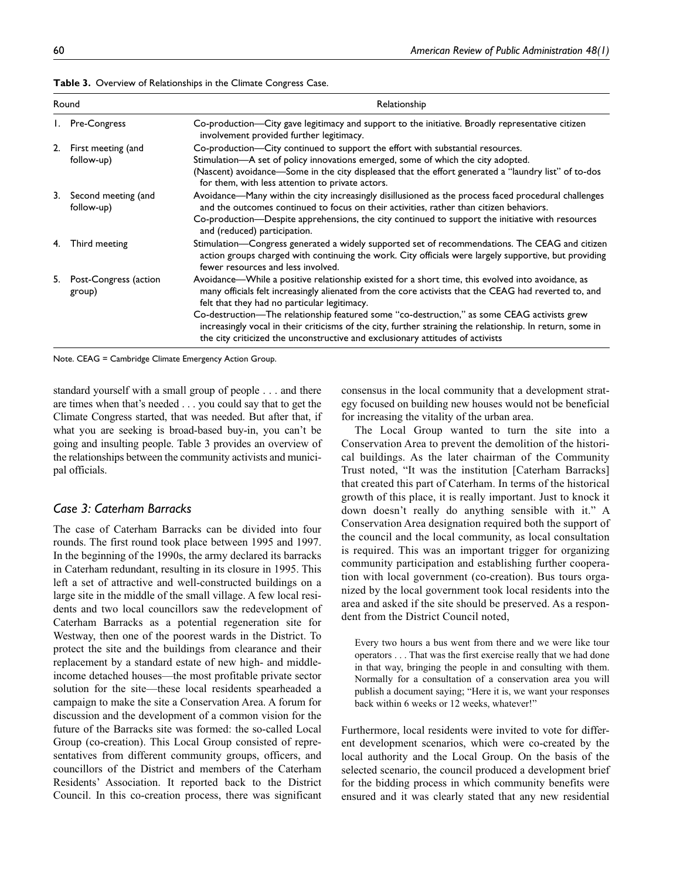|            | Relationship                                                                                                                                                                                                                                                                                                                                                                                                                                                                                                                                              |  |
|------------|-----------------------------------------------------------------------------------------------------------------------------------------------------------------------------------------------------------------------------------------------------------------------------------------------------------------------------------------------------------------------------------------------------------------------------------------------------------------------------------------------------------------------------------------------------------|--|
|            | Co-production-City gave legitimacy and support to the initiative. Broadly representative citizen<br>involvement provided further legitimacy.                                                                                                                                                                                                                                                                                                                                                                                                              |  |
| follow-up) | Co-production-City continued to support the effort with substantial resources.<br>Stimulation-A set of policy innovations emerged, some of which the city adopted.<br>(Nascent) avoidance—Some in the city displeased that the effort generated a "laundry list" of to-dos<br>for them, with less attention to private actors.                                                                                                                                                                                                                            |  |
| follow-up) | Avoidance—Many within the city increasingly disillusioned as the process faced procedural challenges<br>and the outcomes continued to focus on their activities, rather than citizen behaviors.<br>Co-production—Despite apprehensions, the city continued to support the initiative with resources<br>and (reduced) participation.                                                                                                                                                                                                                       |  |
|            | Stimulation—Congress generated a widely supported set of recommendations. The CEAG and citizen<br>action groups charged with continuing the work. City officials were largely supportive, but providing<br>fewer resources and less involved.                                                                                                                                                                                                                                                                                                             |  |
| group)     | Avoidance—While a positive relationship existed for a short time, this evolved into avoidance, as<br>many officials felt increasingly alienated from the core activists that the CEAG had reverted to, and<br>felt that they had no particular legitimacy.<br>Co-destruction—The relationship featured some "co-destruction," as some CEAG activists grew<br>increasingly vocal in their criticisms of the city, further straining the relationship. In return, some in<br>the city criticized the unconstructive and exclusionary attitudes of activists |  |
|            | Round<br>1. Pre-Congress<br>2. First meeting (and<br>3. Second meeting (and<br>Third meeting<br>5. Post-Congress (action                                                                                                                                                                                                                                                                                                                                                                                                                                  |  |

**Table 3.** Overview of Relationships in the Climate Congress Case.

Note. CEAG = Cambridge Climate Emergency Action Group.

standard yourself with a small group of people . . . and there are times when that's needed . . . you could say that to get the Climate Congress started, that was needed. But after that, if what you are seeking is broad-based buy-in, you can't be going and insulting people. Table 3 provides an overview of the relationships between the community activists and municipal officials.

## *Case 3: Caterham Barracks*

The case of Caterham Barracks can be divided into four rounds. The first round took place between 1995 and 1997. In the beginning of the 1990s, the army declared its barracks in Caterham redundant, resulting in its closure in 1995. This left a set of attractive and well-constructed buildings on a large site in the middle of the small village. A few local residents and two local councillors saw the redevelopment of Caterham Barracks as a potential regeneration site for Westway, then one of the poorest wards in the District. To protect the site and the buildings from clearance and their replacement by a standard estate of new high- and middleincome detached houses—the most profitable private sector solution for the site—these local residents spearheaded a campaign to make the site a Conservation Area. A forum for discussion and the development of a common vision for the future of the Barracks site was formed: the so-called Local Group (co-creation). This Local Group consisted of representatives from different community groups, officers, and councillors of the District and members of the Caterham Residents' Association. It reported back to the District Council. In this co-creation process, there was significant

consensus in the local community that a development strategy focused on building new houses would not be beneficial for increasing the vitality of the urban area.

The Local Group wanted to turn the site into a Conservation Area to prevent the demolition of the historical buildings. As the later chairman of the Community Trust noted, "It was the institution [Caterham Barracks] that created this part of Caterham. In terms of the historical growth of this place, it is really important. Just to knock it down doesn't really do anything sensible with it." A Conservation Area designation required both the support of the council and the local community, as local consultation is required. This was an important trigger for organizing community participation and establishing further cooperation with local government (co-creation). Bus tours organized by the local government took local residents into the area and asked if the site should be preserved. As a respondent from the District Council noted,

Every two hours a bus went from there and we were like tour operators . . . That was the first exercise really that we had done in that way, bringing the people in and consulting with them. Normally for a consultation of a conservation area you will publish a document saying; "Here it is, we want your responses back within 6 weeks or 12 weeks, whatever!"

Furthermore, local residents were invited to vote for different development scenarios, which were co-created by the local authority and the Local Group. On the basis of the selected scenario, the council produced a development brief for the bidding process in which community benefits were ensured and it was clearly stated that any new residential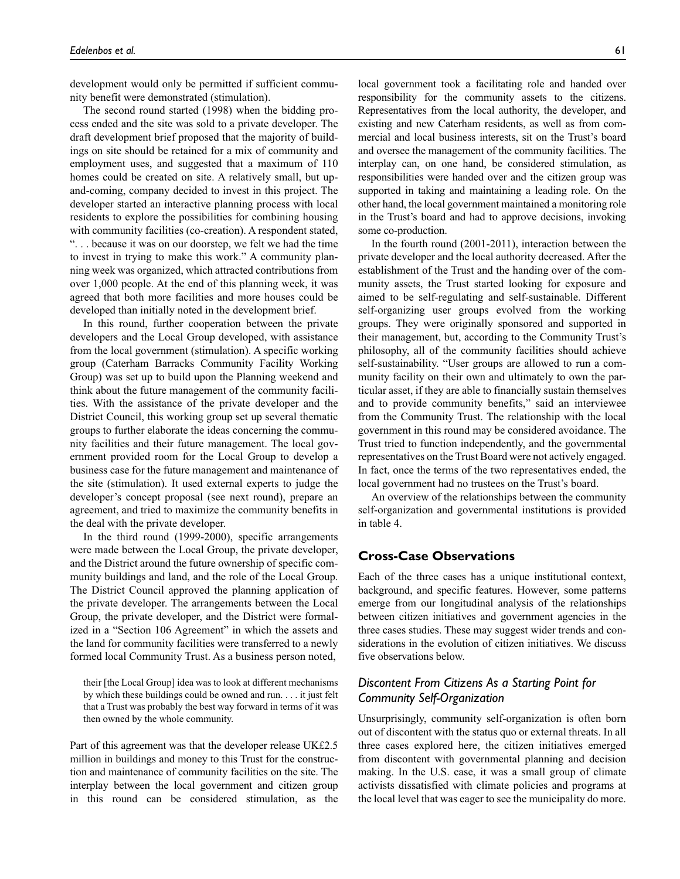development would only be permitted if sufficient community benefit were demonstrated (stimulation).

The second round started (1998) when the bidding process ended and the site was sold to a private developer. The draft development brief proposed that the majority of buildings on site should be retained for a mix of community and employment uses, and suggested that a maximum of 110 homes could be created on site. A relatively small, but upand-coming, company decided to invest in this project. The developer started an interactive planning process with local residents to explore the possibilities for combining housing with community facilities (co-creation). A respondent stated, ". . . because it was on our doorstep, we felt we had the time to invest in trying to make this work." A community planning week was organized, which attracted contributions from over 1,000 people. At the end of this planning week, it was agreed that both more facilities and more houses could be developed than initially noted in the development brief.

In this round, further cooperation between the private developers and the Local Group developed, with assistance from the local government (stimulation). A specific working group (Caterham Barracks Community Facility Working Group) was set up to build upon the Planning weekend and think about the future management of the community facilities. With the assistance of the private developer and the District Council, this working group set up several thematic groups to further elaborate the ideas concerning the community facilities and their future management. The local government provided room for the Local Group to develop a business case for the future management and maintenance of the site (stimulation). It used external experts to judge the developer's concept proposal (see next round), prepare an agreement, and tried to maximize the community benefits in the deal with the private developer.

In the third round (1999-2000), specific arrangements were made between the Local Group, the private developer, and the District around the future ownership of specific community buildings and land, and the role of the Local Group. The District Council approved the planning application of the private developer. The arrangements between the Local Group, the private developer, and the District were formalized in a "Section 106 Agreement" in which the assets and the land for community facilities were transferred to a newly formed local Community Trust. As a business person noted,

their [the Local Group] idea was to look at different mechanisms by which these buildings could be owned and run. . . . it just felt that a Trust was probably the best way forward in terms of it was then owned by the whole community.

Part of this agreement was that the developer release UK£2.5 million in buildings and money to this Trust for the construction and maintenance of community facilities on the site. The interplay between the local government and citizen group in this round can be considered stimulation, as the local government took a facilitating role and handed over responsibility for the community assets to the citizens. Representatives from the local authority, the developer, and existing and new Caterham residents, as well as from commercial and local business interests, sit on the Trust's board and oversee the management of the community facilities. The interplay can, on one hand, be considered stimulation, as responsibilities were handed over and the citizen group was supported in taking and maintaining a leading role. On the other hand, the local government maintained a monitoring role in the Trust's board and had to approve decisions, invoking some co-production.

In the fourth round (2001-2011), interaction between the private developer and the local authority decreased. After the establishment of the Trust and the handing over of the community assets, the Trust started looking for exposure and aimed to be self-regulating and self-sustainable. Different self-organizing user groups evolved from the working groups. They were originally sponsored and supported in their management, but, according to the Community Trust's philosophy, all of the community facilities should achieve self-sustainability. "User groups are allowed to run a community facility on their own and ultimately to own the particular asset, if they are able to financially sustain themselves and to provide community benefits," said an interviewee from the Community Trust. The relationship with the local government in this round may be considered avoidance. The Trust tried to function independently, and the governmental representatives on the Trust Board were not actively engaged. In fact, once the terms of the two representatives ended, the local government had no trustees on the Trust's board.

An overview of the relationships between the community self-organization and governmental institutions is provided in table 4.

### **Cross-Case Observations**

Each of the three cases has a unique institutional context, background, and specific features. However, some patterns emerge from our longitudinal analysis of the relationships between citizen initiatives and government agencies in the three cases studies. These may suggest wider trends and considerations in the evolution of citizen initiatives. We discuss five observations below.

## *Discontent From Citizens As a Starting Point for Community Self-Organization*

Unsurprisingly, community self-organization is often born out of discontent with the status quo or external threats. In all three cases explored here, the citizen initiatives emerged from discontent with governmental planning and decision making. In the U.S. case, it was a small group of climate activists dissatisfied with climate policies and programs at the local level that was eager to see the municipality do more.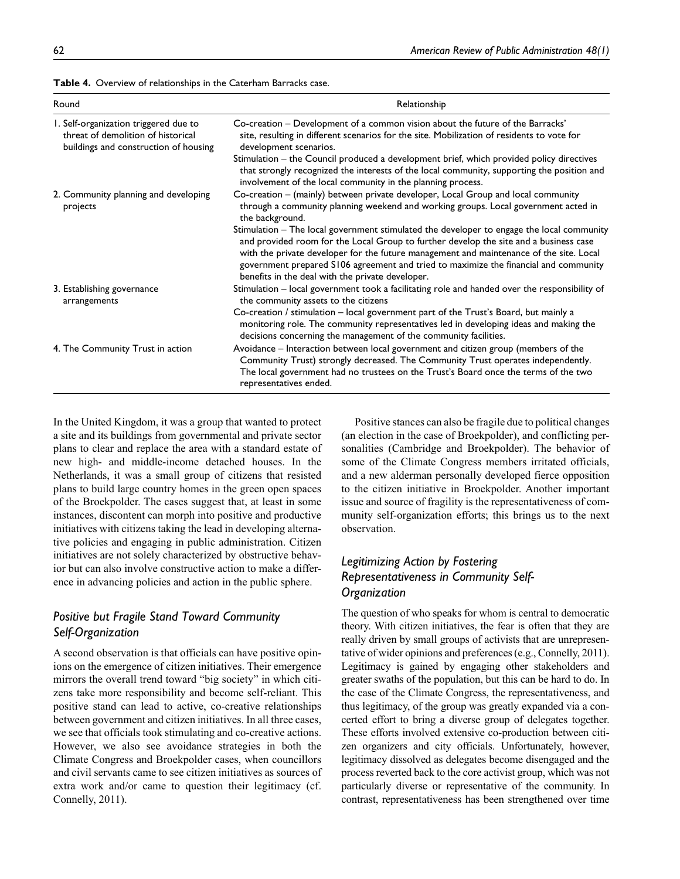| Table 4. Overview of relationships in the Caterham Barracks case. |  |
|-------------------------------------------------------------------|--|
|-------------------------------------------------------------------|--|

| Round                                                                                                                | Relationship                                                                                                                                                                                                                                                                                                                                                                                                                                                                                                                                                                                                            |  |
|----------------------------------------------------------------------------------------------------------------------|-------------------------------------------------------------------------------------------------------------------------------------------------------------------------------------------------------------------------------------------------------------------------------------------------------------------------------------------------------------------------------------------------------------------------------------------------------------------------------------------------------------------------------------------------------------------------------------------------------------------------|--|
| 1. Self-organization triggered due to<br>threat of demolition of historical<br>buildings and construction of housing | Co-creation – Development of a common vision about the future of the Barracks'<br>site, resulting in different scenarios for the site. Mobilization of residents to vote for<br>development scenarios.<br>Stimulation – the Council produced a development brief, which provided policy directives<br>that strongly recognized the interests of the local community, supporting the position and<br>involvement of the local community in the planning process.                                                                                                                                                         |  |
| 2. Community planning and developing<br>projects                                                                     | Co-creation – (mainly) between private developer, Local Group and local community<br>through a community planning weekend and working groups. Local government acted in<br>the background.<br>Stimulation - The local government stimulated the developer to engage the local community<br>and provided room for the Local Group to further develop the site and a business case<br>with the private developer for the future management and maintenance of the site. Local<br>government prepared S106 agreement and tried to maximize the financial and community<br>benefits in the deal with the private developer. |  |
| 3. Establishing governance<br>arrangements                                                                           | Stimulation - local government took a facilitating role and handed over the responsibility of<br>the community assets to the citizens<br>Co-creation / stimulation – local government part of the Trust's Board, but mainly a<br>monitoring role. The community representatives led in developing ideas and making the<br>decisions concerning the management of the community facilities.                                                                                                                                                                                                                              |  |
| 4. The Community Trust in action                                                                                     | Avoidance - Interaction between local government and citizen group (members of the<br>Community Trust) strongly decreased. The Community Trust operates independently.<br>The local government had no trustees on the Trust's Board once the terms of the two<br>representatives ended.                                                                                                                                                                                                                                                                                                                                 |  |

In the United Kingdom, it was a group that wanted to protect a site and its buildings from governmental and private sector plans to clear and replace the area with a standard estate of new high- and middle-income detached houses. In the Netherlands, it was a small group of citizens that resisted plans to build large country homes in the green open spaces of the Broekpolder. The cases suggest that, at least in some instances, discontent can morph into positive and productive initiatives with citizens taking the lead in developing alternative policies and engaging in public administration. Citizen initiatives are not solely characterized by obstructive behavior but can also involve constructive action to make a difference in advancing policies and action in the public sphere.

## *Positive but Fragile Stand Toward Community Self-Organization*

A second observation is that officials can have positive opinions on the emergence of citizen initiatives. Their emergence mirrors the overall trend toward "big society" in which citizens take more responsibility and become self-reliant. This positive stand can lead to active, co-creative relationships between government and citizen initiatives. In all three cases, we see that officials took stimulating and co-creative actions. However, we also see avoidance strategies in both the Climate Congress and Broekpolder cases, when councillors and civil servants came to see citizen initiatives as sources of extra work and/or came to question their legitimacy (cf. Connelly, 2011).

Positive stances can also be fragile due to political changes (an election in the case of Broekpolder), and conflicting personalities (Cambridge and Broekpolder). The behavior of some of the Climate Congress members irritated officials, and a new alderman personally developed fierce opposition to the citizen initiative in Broekpolder. Another important issue and source of fragility is the representativeness of community self-organization efforts; this brings us to the next observation.

## *Legitimizing Action by Fostering Representativeness in Community Self-Organization*

The question of who speaks for whom is central to democratic theory. With citizen initiatives, the fear is often that they are really driven by small groups of activists that are unrepresentative of wider opinions and preferences (e.g., Connelly, 2011). Legitimacy is gained by engaging other stakeholders and greater swaths of the population, but this can be hard to do. In the case of the Climate Congress, the representativeness, and thus legitimacy, of the group was greatly expanded via a concerted effort to bring a diverse group of delegates together. These efforts involved extensive co-production between citizen organizers and city officials. Unfortunately, however, legitimacy dissolved as delegates become disengaged and the process reverted back to the core activist group, which was not particularly diverse or representative of the community. In contrast, representativeness has been strengthened over time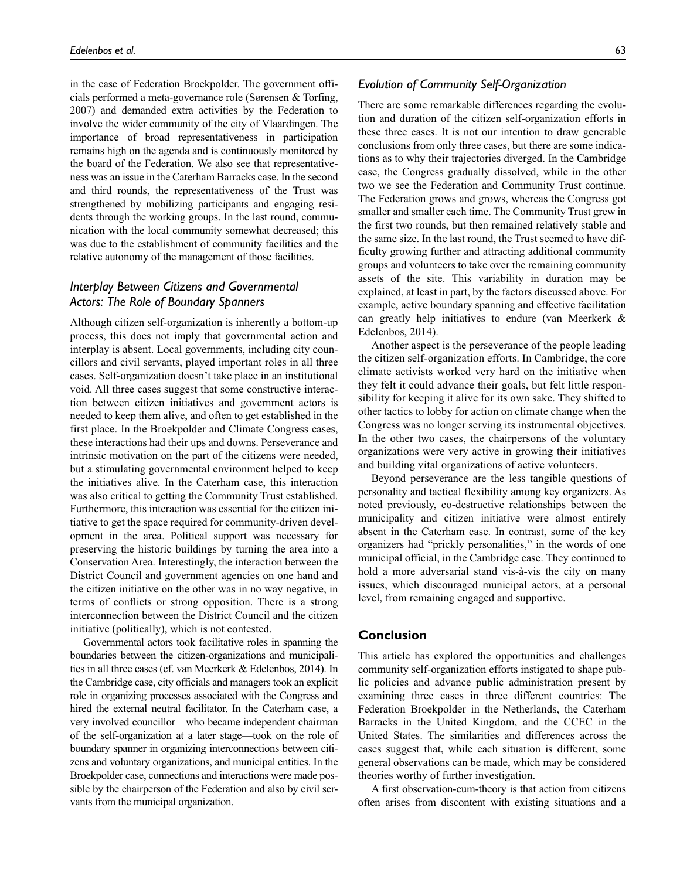in the case of Federation Broekpolder. The government officials performed a meta-governance role (Sørensen & Torfing, 2007) and demanded extra activities by the Federation to involve the wider community of the city of Vlaardingen. The importance of broad representativeness in participation remains high on the agenda and is continuously monitored by the board of the Federation. We also see that representativeness was an issue in the Caterham Barracks case. In the second and third rounds, the representativeness of the Trust was strengthened by mobilizing participants and engaging residents through the working groups. In the last round, communication with the local community somewhat decreased; this was due to the establishment of community facilities and the relative autonomy of the management of those facilities.

## *Interplay Between Citizens and Governmental Actors: The Role of Boundary Spanners*

Although citizen self-organization is inherently a bottom-up process, this does not imply that governmental action and interplay is absent. Local governments, including city councillors and civil servants, played important roles in all three cases. Self-organization doesn't take place in an institutional void. All three cases suggest that some constructive interaction between citizen initiatives and government actors is needed to keep them alive, and often to get established in the first place. In the Broekpolder and Climate Congress cases, these interactions had their ups and downs. Perseverance and intrinsic motivation on the part of the citizens were needed, but a stimulating governmental environment helped to keep the initiatives alive. In the Caterham case, this interaction was also critical to getting the Community Trust established. Furthermore, this interaction was essential for the citizen initiative to get the space required for community-driven development in the area. Political support was necessary for preserving the historic buildings by turning the area into a Conservation Area. Interestingly, the interaction between the District Council and government agencies on one hand and the citizen initiative on the other was in no way negative, in terms of conflicts or strong opposition. There is a strong interconnection between the District Council and the citizen initiative (politically), which is not contested.

Governmental actors took facilitative roles in spanning the boundaries between the citizen-organizations and municipalities in all three cases (cf. van Meerkerk & Edelenbos, 2014). In the Cambridge case, city officials and managers took an explicit role in organizing processes associated with the Congress and hired the external neutral facilitator. In the Caterham case, a very involved councillor—who became independent chairman of the self-organization at a later stage—took on the role of boundary spanner in organizing interconnections between citizens and voluntary organizations, and municipal entities. In the Broekpolder case, connections and interactions were made possible by the chairperson of the Federation and also by civil servants from the municipal organization.

## *Evolution of Community Self-Organization*

There are some remarkable differences regarding the evolution and duration of the citizen self-organization efforts in these three cases. It is not our intention to draw generable conclusions from only three cases, but there are some indications as to why their trajectories diverged. In the Cambridge case, the Congress gradually dissolved, while in the other two we see the Federation and Community Trust continue. The Federation grows and grows, whereas the Congress got smaller and smaller each time. The Community Trust grew in the first two rounds, but then remained relatively stable and the same size. In the last round, the Trust seemed to have difficulty growing further and attracting additional community groups and volunteers to take over the remaining community assets of the site. This variability in duration may be explained, at least in part, by the factors discussed above. For example, active boundary spanning and effective facilitation can greatly help initiatives to endure (van Meerkerk & Edelenbos, 2014).

Another aspect is the perseverance of the people leading the citizen self-organization efforts. In Cambridge, the core climate activists worked very hard on the initiative when they felt it could advance their goals, but felt little responsibility for keeping it alive for its own sake. They shifted to other tactics to lobby for action on climate change when the Congress was no longer serving its instrumental objectives. In the other two cases, the chairpersons of the voluntary organizations were very active in growing their initiatives and building vital organizations of active volunteers.

Beyond perseverance are the less tangible questions of personality and tactical flexibility among key organizers. As noted previously, co-destructive relationships between the municipality and citizen initiative were almost entirely absent in the Caterham case. In contrast, some of the key organizers had "prickly personalities," in the words of one municipal official, in the Cambridge case. They continued to hold a more adversarial stand vis-à-vis the city on many issues, which discouraged municipal actors, at a personal level, from remaining engaged and supportive.

### **Conclusion**

This article has explored the opportunities and challenges community self-organization efforts instigated to shape public policies and advance public administration present by examining three cases in three different countries: The Federation Broekpolder in the Netherlands, the Caterham Barracks in the United Kingdom, and the CCEC in the United States. The similarities and differences across the cases suggest that, while each situation is different, some general observations can be made, which may be considered theories worthy of further investigation.

A first observation-cum-theory is that action from citizens often arises from discontent with existing situations and a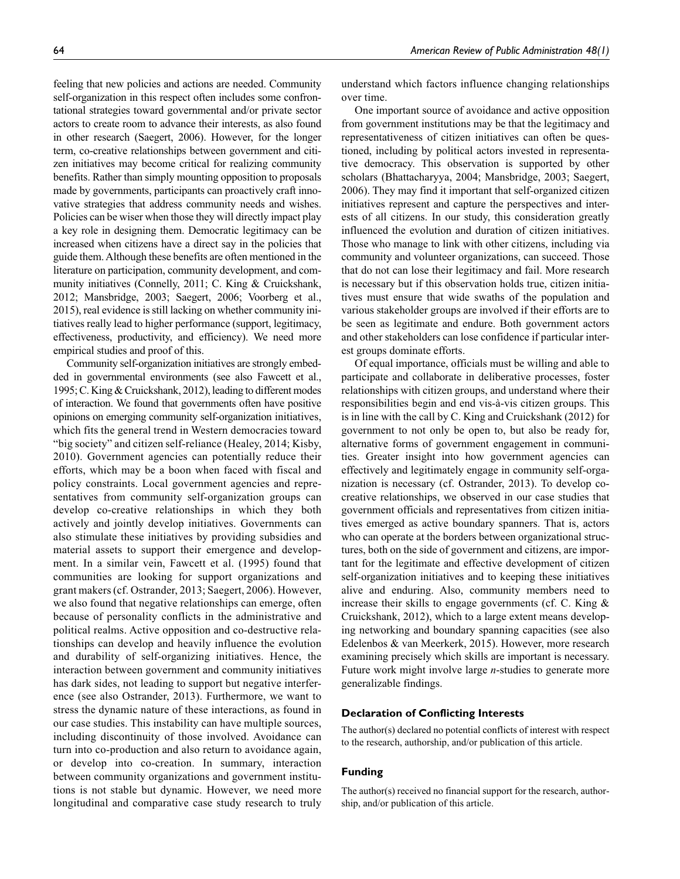feeling that new policies and actions are needed. Community self-organization in this respect often includes some confrontational strategies toward governmental and/or private sector actors to create room to advance their interests, as also found in other research (Saegert, 2006). However, for the longer term, co-creative relationships between government and citizen initiatives may become critical for realizing community benefits. Rather than simply mounting opposition to proposals made by governments, participants can proactively craft innovative strategies that address community needs and wishes. Policies can be wiser when those they will directly impact play a key role in designing them. Democratic legitimacy can be increased when citizens have a direct say in the policies that guide them. Although these benefits are often mentioned in the literature on participation, community development, and community initiatives (Connelly, 2011; C. King & Cruickshank, 2012; Mansbridge, 2003; Saegert, 2006; Voorberg et al., 2015), real evidence is still lacking on whether community initiatives really lead to higher performance (support, legitimacy, effectiveness, productivity, and efficiency). We need more empirical studies and proof of this.

Community self-organization initiatives are strongly embedded in governmental environments (see also Fawcett et al., 1995; C. King & Cruickshank, 2012), leading to different modes of interaction. We found that governments often have positive opinions on emerging community self-organization initiatives, which fits the general trend in Western democracies toward "big society" and citizen self-reliance (Healey, 2014; Kisby, 2010). Government agencies can potentially reduce their efforts, which may be a boon when faced with fiscal and policy constraints. Local government agencies and representatives from community self-organization groups can develop co-creative relationships in which they both actively and jointly develop initiatives. Governments can also stimulate these initiatives by providing subsidies and material assets to support their emergence and development. In a similar vein, Fawcett et al. (1995) found that communities are looking for support organizations and grant makers (cf. Ostrander, 2013; Saegert, 2006). However, we also found that negative relationships can emerge, often because of personality conflicts in the administrative and political realms. Active opposition and co-destructive relationships can develop and heavily influence the evolution and durability of self-organizing initiatives. Hence, the interaction between government and community initiatives has dark sides, not leading to support but negative interference (see also Ostrander, 2013). Furthermore, we want to stress the dynamic nature of these interactions, as found in our case studies. This instability can have multiple sources, including discontinuity of those involved. Avoidance can turn into co-production and also return to avoidance again, or develop into co-creation. In summary, interaction between community organizations and government institutions is not stable but dynamic. However, we need more longitudinal and comparative case study research to truly

understand which factors influence changing relationships over time.

One important source of avoidance and active opposition from government institutions may be that the legitimacy and representativeness of citizen initiatives can often be questioned, including by political actors invested in representative democracy. This observation is supported by other scholars (Bhattacharyya, 2004; Mansbridge, 2003; Saegert, 2006). They may find it important that self-organized citizen initiatives represent and capture the perspectives and interests of all citizens. In our study, this consideration greatly influenced the evolution and duration of citizen initiatives. Those who manage to link with other citizens, including via community and volunteer organizations, can succeed. Those that do not can lose their legitimacy and fail. More research is necessary but if this observation holds true, citizen initiatives must ensure that wide swaths of the population and various stakeholder groups are involved if their efforts are to be seen as legitimate and endure. Both government actors and other stakeholders can lose confidence if particular interest groups dominate efforts.

Of equal importance, officials must be willing and able to participate and collaborate in deliberative processes, foster relationships with citizen groups, and understand where their responsibilities begin and end vis-à-vis citizen groups. This is in line with the call by C. King and Cruickshank (2012) for government to not only be open to, but also be ready for, alternative forms of government engagement in communities. Greater insight into how government agencies can effectively and legitimately engage in community self-organization is necessary (cf. Ostrander, 2013). To develop cocreative relationships, we observed in our case studies that government officials and representatives from citizen initiatives emerged as active boundary spanners. That is, actors who can operate at the borders between organizational structures, both on the side of government and citizens, are important for the legitimate and effective development of citizen self-organization initiatives and to keeping these initiatives alive and enduring. Also, community members need to increase their skills to engage governments (cf. C. King & Cruickshank, 2012), which to a large extent means developing networking and boundary spanning capacities (see also Edelenbos & van Meerkerk, 2015). However, more research examining precisely which skills are important is necessary. Future work might involve large *n*-studies to generate more generalizable findings.

#### **Declaration of Conflicting Interests**

The author(s) declared no potential conflicts of interest with respect to the research, authorship, and/or publication of this article.

#### **Funding**

The author(s) received no financial support for the research, authorship, and/or publication of this article.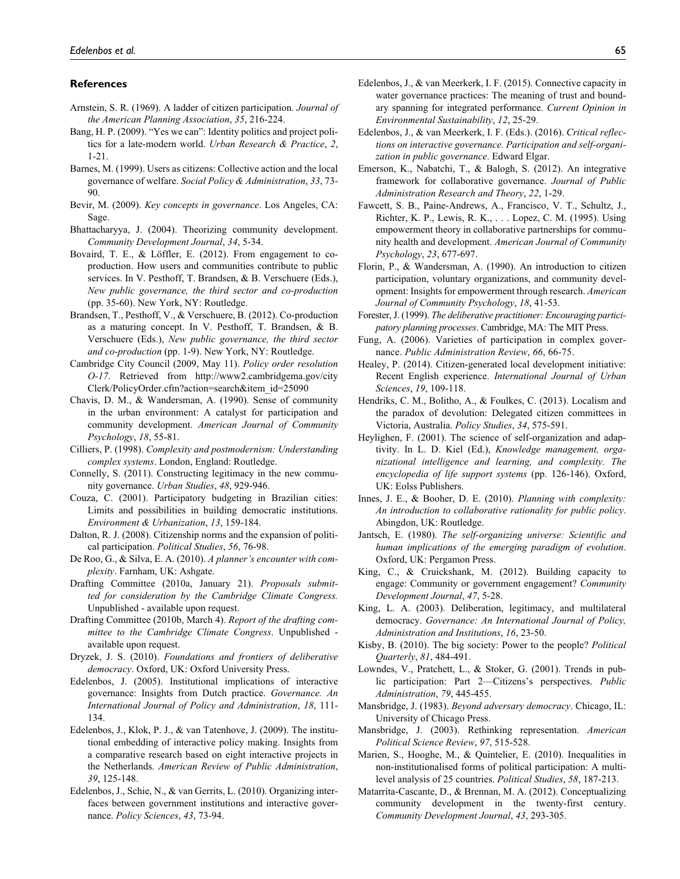#### **References**

- Arnstein, S. R. (1969). A ladder of citizen participation. *Journal of the American Planning Association*, *35*, 216-224.
- Bang, H. P. (2009). "Yes we can": Identity politics and project politics for a late-modern world. *Urban Research & Practice*, *2*, 1-21.
- Barnes, M. (1999). Users as citizens: Collective action and the local governance of welfare. *Social Policy & Administration*, *33*, 73- 90.
- Bevir, M. (2009). *Key concepts in governance*. Los Angeles, CA: Sage.
- Bhattacharyya, J. (2004). Theorizing community development. *Community Development Journal*, *34*, 5-34.
- Bovaird, T. E., & Löffler, E. (2012). From engagement to coproduction. How users and communities contribute to public services. In V. Pesthoff, T. Brandsen, & B. Verschuere (Eds.), *New public governance, the third sector and co-production* (pp. 35-60). New York, NY: Routledge.
- Brandsen, T., Pesthoff, V., & Verschuere, B. (2012). Co-production as a maturing concept. In V. Pesthoff, T. Brandsen, & B. Verschuere (Eds.), *New public governance, the third sector and co-production* (pp. 1-9). New York, NY: Routledge.
- Cambridge City Council (2009, May 11). *Policy order resolution O-17*[. Retrieved from http://www2.cambridgema.gov/city](http://www2.cambridgema.gov/cityClerk/PolicyOrder.cfm?action=search&item_id=25090)  Clerk/PolicyOrder.cfm?action=search&item\_id=25090
- Chavis, D. M., & Wandersman, A. (1990). Sense of community in the urban environment: A catalyst for participation and community development. *American Journal of Community Psychology*, *18*, 55-81.
- Cilliers, P. (1998). *Complexity and postmodernism: Understanding complex systems*. London, England: Routledge.
- Connelly, S. (2011). Constructing legitimacy in the new community governance. *Urban Studies*, *48*, 929-946.
- Couza, C. (2001). Participatory budgeting in Brazilian cities: Limits and possibilities in building democratic institutions. *Environment & Urbanization*, *13*, 159-184.
- Dalton, R. J. (2008). Citizenship norms and the expansion of political participation. *Political Studies*, *56*, 76-98.
- De Roo, G., & Silva, E. A. (2010). *A planner's encounter with complexity*. Farnham, UK: Ashgate.
- Drafting Committee (2010a, January 21). *Proposals submitted for consideration by the Cambridge Climate Congress.* Unpublished - available upon request.
- Drafting Committee (2010b, March 4). *Report of the drafting committee to the Cambridge Climate Congress*. Unpublished available upon request.
- Dryzek, J. S. (2010). *Foundations and frontiers of deliberative democracy*. Oxford, UK: Oxford University Press.
- Edelenbos, J. (2005). Institutional implications of interactive governance: Insights from Dutch practice. *Governance. An International Journal of Policy and Administration*, *18*, 111- 134.
- Edelenbos, J., Klok, P. J., & van Tatenhove, J. (2009). The institutional embedding of interactive policy making. Insights from a comparative research based on eight interactive projects in the Netherlands. *American Review of Public Administration*, *39*, 125-148.
- Edelenbos, J., Schie, N., & van Gerrits, L. (2010). Organizing interfaces between government institutions and interactive governance. *Policy Sciences*, *43*, 73-94.
- Edelenbos, J., & van Meerkerk, I. F. (2015). Connective capacity in water governance practices: The meaning of trust and boundary spanning for integrated performance. *Current Opinion in Environmental Sustainability*, *12*, 25-29.
- Edelenbos, J., & van Meerkerk, I. F. (Eds.). (2016). *Critical reflections on interactive governance. Participation and self-organization in public governance*. Edward Elgar.
- Emerson, K., Nabatchi, T., & Balogh, S. (2012). An integrative framework for collaborative governance. *Journal of Public Administration Research and Theory*, *22*, 1-29.
- Fawcett, S. B., Paine-Andrews, A., Francisco, V. T., Schultz, J., Richter, K. P., Lewis, R. K., . . . Lopez, C. M. (1995). Using empowerment theory in collaborative partnerships for community health and development. *American Journal of Community Psychology*, *23*, 677-697.
- Florin, P., & Wandersman, A. (1990). An introduction to citizen participation, voluntary organizations, and community development: Insights for empowerment through research. *American Journal of Community Psychology*, *18*, 41-53.
- Forester, J. (1999). *The deliberative practitioner: Encouraging participatory planning processes*. Cambridge, MA: The MIT Press.
- Fung, A. (2006). Varieties of participation in complex governance. *Public Administration Review*, *66*, 66-75.
- Healey, P. (2014). Citizen-generated local development initiative: Recent English experience. *International Journal of Urban Sciences*, *19*, 109-118.
- Hendriks, C. M., Bolitho, A., & Foulkes, C. (2013). Localism and the paradox of devolution: Delegated citizen committees in Victoria, Australia. *Policy Studies*, *34*, 575-591.
- Heylighen, F. (2001). The science of self-organization and adaptivity. In L. D. Kiel (Ed.), *Knowledge management, organizational intelligence and learning, and complexity. The encyclopedia of life support systems* (pp. 126-146). Oxford, UK: Eolss Publishers.
- Innes, J. E., & Booher, D. E. (2010). *Planning with complexity: An introduction to collaborative rationality for public policy*. Abingdon, UK: Routledge.
- Jantsch, E. (1980). *The self-organizing universe: Scientific and human implications of the emerging paradigm of evolution*. Oxford, UK: Pergamon Press.
- King, C., & Cruickshank, M. (2012). Building capacity to engage: Community or government engagement? *Community Development Journal*, *47*, 5-28.
- King, L. A. (2003). Deliberation, legitimacy, and multilateral democracy. *Governance: An International Journal of Policy, Administration and Institutions*, *16*, 23-50.
- Kisby, B. (2010). The big society: Power to the people? *Political Quarterly*, *81*, 484-491.
- Lowndes, V., Pratchett, L., & Stoker, G. (2001). Trends in public participation: Part 2—Citizens's perspectives. *Public Administration*, *79*, 445-455.
- Mansbridge, J. (1983). *Beyond adversary democracy*. Chicago, IL: University of Chicago Press.
- Mansbridge, J. (2003). Rethinking representation. *American Political Science Review*, *97*, 515-528.
- Marien, S., Hooghe, M., & Quintelier, E. (2010). Inequalities in non-institutionalised forms of political participation: A multilevel analysis of 25 countries. *Political Studies*, *58*, 187-213.
- Matarrita-Cascante, D., & Brennan, M. A. (2012). Conceptualizing community development in the twenty-first century. *Community Development Journal*, *43*, 293-305.